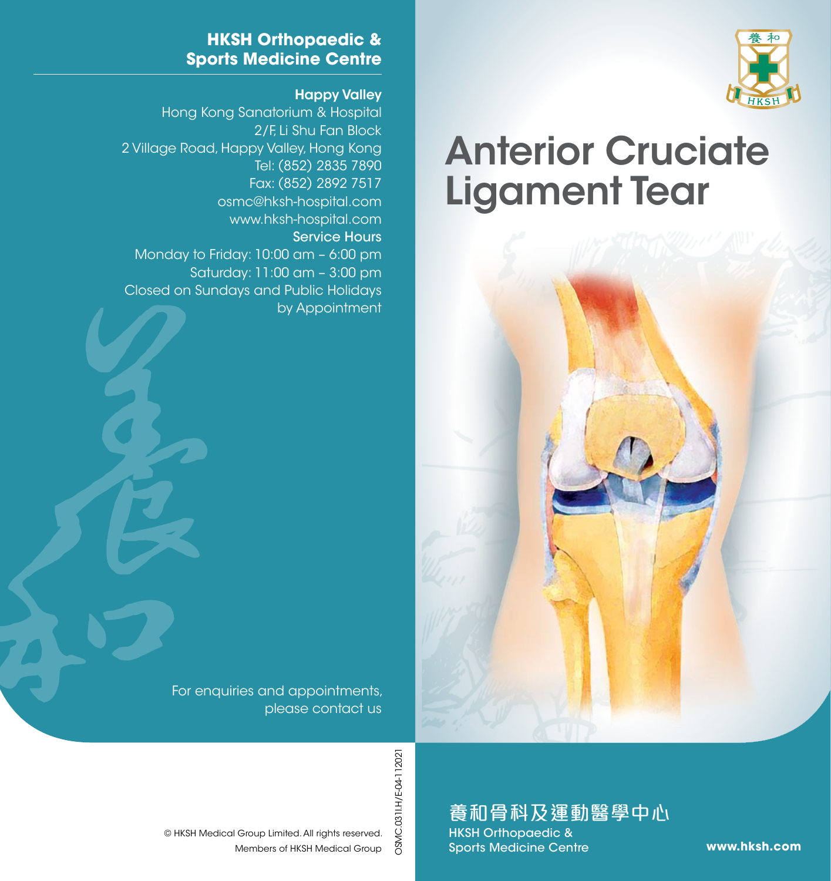

# Anterior Cruciate Ligament Tear



#### **HKSH Orthopaedic & Sports Medicine Centre**

#### Happy Valley

Hong Kong Sanatorium & Hospital 2/F, Li Shu Fan Block 2 Village Road, Happy Valley, Hong Kong Tel: (852) 2835 7890 Fax: (852) 2892 7517 osmc@hksh-hospital.com www.hksh-hospital.com Service Hours Monday to Friday: 10:00 am – 6:00 pm Saturday: 11:00 am – 3:00 pm Closed on Sundays and Public Holidays by Appointment

> For enquiries and appointments, please contact us

> > OSMC.031I.H/E-04-112021 OSMC.031I.H/E-04-112021

## 養和骨科及運動醫學中心

HKSH Orthopaedic & Sports Medicine Centre

**www.hksh.com**

Members of HKSH Medical Group © HKSH Medical Group Limited. All rights reserved.